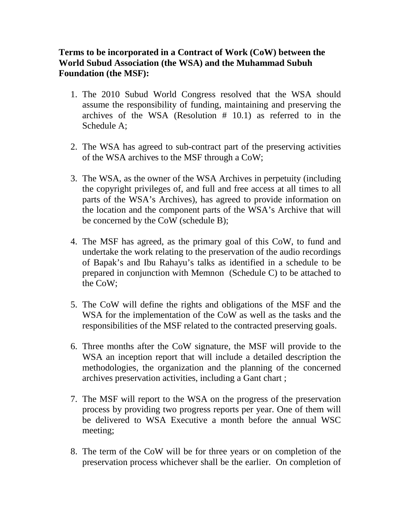## **Terms to be incorporated in a Contract of Work (CoW) between the World Subud Association (the WSA) and the Muhammad Subuh Foundation (the MSF):**

- 1. The 2010 Subud World Congress resolved that the WSA should assume the responsibility of funding, maintaining and preserving the archives of the WSA (Resolution # 10.1) as referred to in the Schedule A;
- 2. The WSA has agreed to sub-contract part of the preserving activities of the WSA archives to the MSF through a CoW;
- 3. The WSA, as the owner of the WSA Archives in perpetuity (including the copyright privileges of, and full and free access at all times to all parts of the WSA's Archives), has agreed to provide information on the location and the component parts of the WSA's Archive that will be concerned by the CoW (schedule B);
- 4. The MSF has agreed, as the primary goal of this CoW, to fund and undertake the work relating to the preservation of the audio recordings of Bapak's and Ibu Rahayu's talks as identified in a schedule to be prepared in conjunction with Memnon (Schedule C) to be attached to the CoW;
- 5. The CoW will define the rights and obligations of the MSF and the WSA for the implementation of the CoW as well as the tasks and the responsibilities of the MSF related to the contracted preserving goals.
- 6. Three months after the CoW signature, the MSF will provide to the WSA an inception report that will include a detailed description the methodologies, the organization and the planning of the concerned archives preservation activities, including a Gant chart ;
- 7. The MSF will report to the WSA on the progress of the preservation process by providing two progress reports per year. One of them will be delivered to WSA Executive a month before the annual WSC meeting;
- 8. The term of the CoW will be for three years or on completion of the preservation process whichever shall be the earlier. On completion of